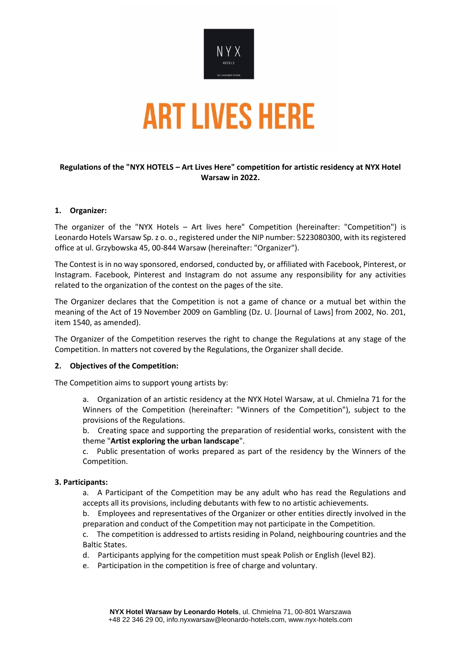

## **Regulations of the "NYX HOTELS – Art Lives Here" competition for artistic residency at NYX Hotel Warsaw in 2022.**

### **1. Organizer:**

The organizer of the "NYX Hotels – Art lives here" Competition (hereinafter: "Competition") is Leonardo Hotels Warsaw Sp. z o. o., registered under the NIP number: 5223080300, with its registered office at ul. Grzybowska 45, 00-844 Warsaw (hereinafter: "Organizer").

The Contest is in no way sponsored, endorsed, conducted by, or affiliated with Facebook, Pinterest, or Instagram. Facebook, Pinterest and Instagram do not assume any responsibility for any activities related to the organization of the contest on the pages of the site.

The Organizer declares that the Competition is not a game of chance or a mutual bet within the meaning of the Act of 19 November 2009 on Gambling (Dz. U. [Journal of Laws] from 2002, No. 201, item 1540, as amended).

The Organizer of the Competition reserves the right to change the Regulations at any stage of the Competition. In matters not covered by the Regulations, the Organizer shall decide.

### **2. Objectives of the Competition:**

The Competition aims to support young artists by:

- a. Organization of an artistic residency at the NYX Hotel Warsaw, at ul. Chmielna 71 for the Winners of the Competition (hereinafter: "Winners of the Competition"), subject to the provisions of the Regulations.
- b. Creating space and supporting the preparation of residential works, consistent with the theme "**Artist exploring the urban landscape**".
- c. Public presentation of works prepared as part of the residency by the Winners of the Competition.

### **3. Participants:**

- a. A Participant of the Competition may be any adult who has read the Regulations and accepts all its provisions, including debutants with few to no artistic achievements.
- b. Employees and representatives of the Organizer or other entities directly involved in the preparation and conduct of the Competition may not participate in the Competition.
- c. The competition is addressed to artists residing in Poland, neighbouring countries and the Baltic States.
- d. Participants applying for the competition must speak Polish or English (level B2).
- e. Participation in the competition is free of charge and voluntary.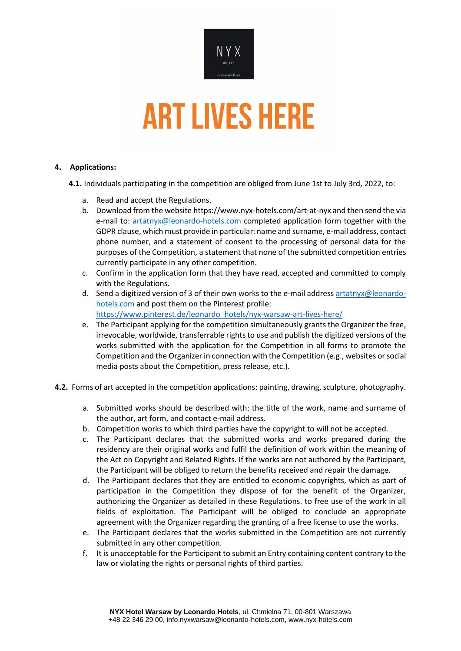

## **4. Applications:**

**4.1.** Individuals participating in the competition are obliged from June 1st to July 3rd, 2022, to:

- a. Read and accept the Regulations.
- b. Download from the website<https://www.nyx-hotels.com/art-at-nyx> and then send the via e-mail to: [artatnyx@leonardo-hotels.com](mailto:artatnyx@leonardo-hotels.com) completed application form together with the GDPR clause, which must provide in particular: name and surname, e-mail address, contact phone number, and a statement of consent to the processing of personal data for the purposes of the Competition, a statement that none of the submitted competition entries currently participate in any other competition.
- c. Confirm in the application form that they have read, accepted and committed to comply with the Regulations.
- d. Send a digitized version of 3 of their own works to the e-mail addres[s artatnyx@leonardo](mailto:artatnyx@leonardo-hotels.com)[hotels.com](mailto:artatnyx@leonardo-hotels.com) and post them on the Pinterest profile: [https://www.pinterest.de/leonardo\\_hotels/nyx-warsaw-art-lives-here/](https://www.pinterest.de/leonardo_hotels/nyx-warsaw-art-lives-here/)
- e. The Participant applying for the competition simultaneously grants the Organizer the free, irrevocable, worldwide, transferrable rights to use and publish the digitized versions of the works submitted with the application for the Competition in all forms to promote the Competition and the Organizer in connection with the Competition (e.g., websites or social media posts about the Competition, press release, etc.).
- **4.2.** Forms of art accepted in the competition applications: painting, drawing, sculpture, photography.
	- a. Submitted works should be described with: the title of the work, name and surname of the author, art form, and contact e-mail address.
	- b. Competition works to which third parties have the copyright to will not be accepted.
	- c. The Participant declares that the submitted works and works prepared during the residency are their original works and fulfil the definition of work within the meaning of the Act on Copyright and Related Rights. If the works are not authored by the Participant, the Participant will be obliged to return the benefits received and repair the damage.
	- d. The Participant declares that they are entitled to economic copyrights, which as part of participation in the Competition they dispose of for the benefit of the Organizer, authorizing the Organizer as detailed in these Regulations. to free use of the work in all fields of exploitation. The Participant will be obliged to conclude an appropriate agreement with the Organizer regarding the granting of a free license to use the works.
	- e. The Participant declares that the works submitted in the Competition are not currently submitted in any other competition.
	- f. It is unacceptable for the Participant to submit an Entry containing content contrary to the law or violating the rights or personal rights of third parties.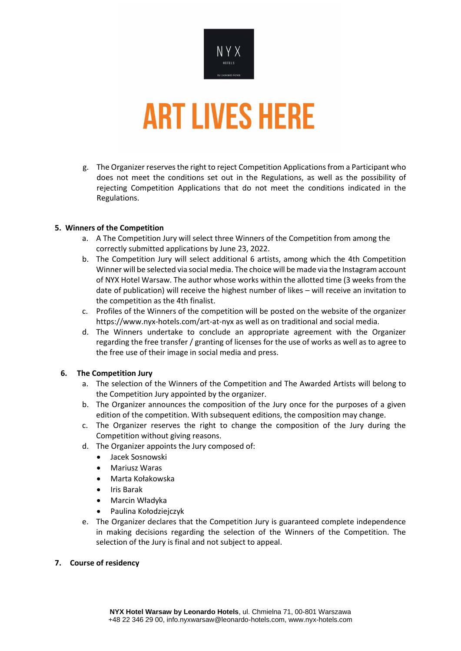

g. The Organizer reserves the right to reject Competition Applications from a Participant who does not meet the conditions set out in the Regulations, as well as the possibility of rejecting Competition Applications that do not meet the conditions indicated in the Regulations.

## **5. Winners of the Competition**

- a. A The Competition Jury will select three Winners of the Competition from among the correctly submitted applications by June 23, 2022.
- b. The Competition Jury will select additional 6 artists, among which the 4th Competition Winner will be selected via social media. The choice will be made via the Instagram account of NYX Hotel Warsaw. The author whose works within the allotted time (3 weeks from the date of publication) will receive the highest number of likes – will receive an invitation to the competition as the 4th finalist.
- c. Profiles of the Winners of the competition will be posted on the website of the organizer <https://www.nyx-hotels.com/art-at-nyx> as well as on traditional and social media.
- d. The Winners undertake to conclude an appropriate agreement with the Organizer regarding the free transfer / granting of licenses for the use of works as well as to agree to the free use of their image in social media and press.

### **6. The Competition Jury**

- a. The selection of the Winners of the Competition and The Awarded Artists will belong to the Competition Jury appointed by the organizer.
- b. The Organizer announces the composition of the Jury once for the purposes of a given edition of the competition. With subsequent editions, the composition may change.
- c. The Organizer reserves the right to change the composition of the Jury during the Competition without giving reasons.
- d. The Organizer appoints the Jury composed of:
	- Jacek Sosnowski
	- Mariusz Waras
	- Marta Kołakowska
	- Iris Barak
	- Marcin Władyka
	- Paulina Kołodziejczyk
- e. The Organizer declares that the Competition Jury is guaranteed complete independence in making decisions regarding the selection of the Winners of the Competition. The selection of the Jury is final and not subject to appeal.

### **7. Course of residency**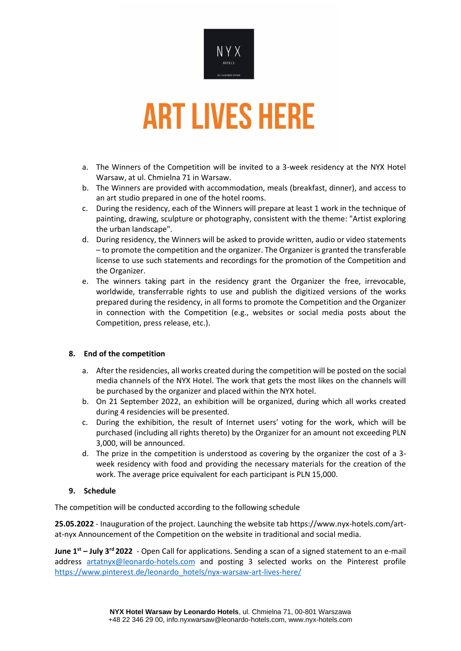

- a. The Winners of the Competition will be invited to a 3-week residency at the NYX Hotel Warsaw, at ul. Chmielna 71 in Warsaw.
- b. The Winners are provided with accommodation, meals (breakfast, dinner), and access to an art studio prepared in one of the hotel rooms.
- c. During the residency, each of the Winners will prepare at least 1 work in the technique of painting, drawing, sculpture or photography, consistent with the theme: "Artist exploring the urban landscape".
- d. During residency, the Winners will be asked to provide written, audio or video statements – to promote the competition and the organizer. The Organizer is granted the transferable license to use such statements and recordings for the promotion of the Competition and the Organizer.
- e. The winners taking part in the residency grant the Organizer the free, irrevocable, worldwide, transferrable rights to use and publish the digitized versions of the works prepared during the residency, in all forms to promote the Competition and the Organizer in connection with the Competition (e.g., websites or social media posts about the Competition, press release, etc.).

# **8. End of the competition**

- a. After the residencies, all works created during the competition will be posted on the social media channels of the NYX Hotel. The work that gets the most likes on the channels will be purchased by the organizer and placed within the NYX hotel.
- b. On 21 September 2022, an exhibition will be organized, during which all works created during 4 residencies will be presented.
- c. During the exhibition, the result of Internet users' voting for the work, which will be purchased (including all rights thereto) by the Organizer for an amount not exceeding PLN 3,000, will be announced.
- d. The prize in the competition is understood as covering by the organizer the cost of a 3 week residency with food and providing the necessary materials for the creation of the work. The average price equivalent for each participant is PLN 15,000.

# **9. Schedule**

The competition will be conducted according to the following schedule

**25.05.2022** - Inauguration of the project. Launching the website ta[b https://www.nyx-hotels.com/art](https://www.nyx-hotels.com/art-at-nyx)[at-nyx](https://www.nyx-hotels.com/art-at-nyx) Announcement of the Competition on the website in traditional and social media.

**June 1st – July 3rd 2022** - Open Call for applications. Sending a scan of a signed statement to an e-mail address [artatnyx@leonardo-hotels.com](mailto:artatnyx@leonardo-hotels.com) and posting 3 selected works on the Pinterest profile [https://www.pinterest.de/leonardo\\_hotels/nyx-warsaw-art-lives-here/](https://www.pinterest.de/leonardo_hotels/nyx-warsaw-art-lives-here/)